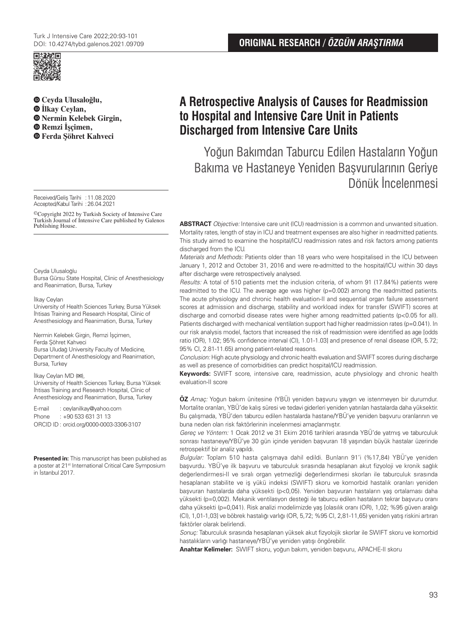

**Ceyda Ulusaloğlu, İlkay Ceylan, Nermin Kelebek Girgin, Remzi İşçimen, Ferda Şöhret Kahveci**

Received/Geliş Tarihi :11.08.2020 Accepted/Kabul Tarihi :26.04.2021

©Copyright 2022 by Turkish Society of Intensive Care Turkish Journal of Intensive Care published by Galenos Publishing House.

#### Ceyda Ulusaloğlu

Bursa Gürsu State Hospital, Clinic of Anesthesiology and Reanimation, Bursa, Turkey

#### İlkay Ceylan

University of Health Sciences Turkey, Bursa Yüksek İhtisas Training and Research Hospital, Clinic of Anesthesiology and Reanimation, Bursa, Turkey

Nermin Kelebek Girgin, Remzi İşçimen, Ferda Şöhret Kahveci Bursa Uludağ University Faculty of Medicine, Department of Anesthesiology and Reanimation, Bursa, Turkey

#### İlkay Ceylan MD (**✉**),

University of Health Sciences Turkey, Bursa Yüksek İhtisas Training and Research Hospital, Clinic of Anesthesiology and Reanimation, Bursa, Turkey

E-mail : ceylanilkay@yahoo.com Phone : +90 533 631 31 13 ORCID ID : orcid.org/0000-0003-3306-3107

**Presented in:** This manuscript has been published as a poster at 21<sup>st</sup> International Critical Care Symposium in İstanbul 2017.

# **ORIGINAL RESEARCH /** *ÖZGÜN ARAŞTIRMA*

# **A Retrospective Analysis of Causes for Readmission to Hospital and Intensive Care Unit in Patients Discharged from Intensive Care Units**

Yoğun Bakımdan Taburcu Edilen Hastaların Yoğun Bakıma ve Hastaneye Yeniden Başvurularının Geriye Dönük İncelenmesi

**ABSTRACT** Objective: Intensive care unit (ICU) readmission is a common and unwanted situation. Mortality rates, length of stay in ICU and treatment expenses are also higher in readmitted patients. This study aimed to examine the hospital/ICU readmission rates and risk factors among patients discharged from the ICU.

Materials and Methods: Patients older than 18 years who were hospitalised in the ICU between January 1, 2012 and October 31, 2016 and were re-admitted to the hospital/ICU within 30 days after discharge were retrospectively analysed.

Results: A total of 510 patients met the inclusion criteria, of whom 91 (17.84%) patients were readmitted to the ICU. The average age was higher (p=0.002) among the readmitted patients. The acute physiology and chronic health evaluation-II and sequential organ failure assessment scores at admission and discharge, stability and workload index for transfer (SWIFT) scores at discharge and comorbid disease rates were higher among readmitted patients (p<0.05 for all). Patients discharged with mechanical ventilation support had higher readmission rates (p=0.041). In our risk analysis model, factors that increased the risk of readmission were identified as age [odds ratio (OR), 1.02; 95% confidence interval (CI), 1.01-1.03] and presence of renal disease (OR, 5.72; 95% CI, 2.81-11.65) among patient-related reasons.

Conclusion: High acute physiology and chronic health evaluation and SWIFT scores during discharge as well as presence of comorbidities can predict hospital/ICU readmission.

**Keywords:** SWIFT score, intensive care, readmission, acute physiology and chronic health evaluation-II score

**ÖZ** Amaç: Yoğun bakım ünitesine (YBÜ) yeniden başvuru yaygın ve istenmeyen bir durumdur. Mortalite oranları, YBÜ'de kalış süresi ve tedavi giderleri yeniden yatırılan hastalarda daha yüksektir. Bu çalışmada, YBÜ'den taburcu edilen hastalarda hastane/YBÜ'ye yeniden başvuru oranlarının ve buna neden olan risk faktörlerinin incelenmesi amaçlanmıştır.

Gereç ve Yöntem: 1 Ocak 2012 ve 31 Ekim 2016 tarihleri arasında YBÜ'de yatmış ve taburculuk sonrası hastaneye/YBÜ'ye 30 gün içinde yeniden başvuran 18 yaşından büyük hastalar üzerinde retrospektif bir analiz yapıldı.

Bulgular: Toplam 510 hasta çalışmaya dahil edildi. Bunların 91'i (%17,84) YBÜ'ye yeniden başvurdu. YBÜ'ye ilk başvuru ve taburculuk sırasında hesaplanan akut fizyoloji ve kronik sağlık değerlendirmesi-II ve sıralı organ yetmezliği değerlendirmesi skorları ile taburculuk sırasında hesaplanan stabilite ve iş yükü indeksi (SWIFT) skoru ve komorbid hastalık oranları yeniden başvuran hastalarda daha yüksekti (p<0,05). Yeniden başvuran hastaların yaş ortalaması daha yüksekti (p=0,002). Mekanik ventilasyon desteği ile taburcu edilen hastaların tekrar başvuru oranı daha yüksekti (p=0,041). Risk analizi modelimizde yaş [olasılık oranı (OR), 1,02; %95 güven aralığı (CI), 1,01-1,03] ve böbrek hastalığı varlığı (OR, 5,72; %95 CI, 2,81-11,65) yeniden yatış riskini artıran faktörler olarak belirlendi.

Sonuç: Taburculuk sırasında hesaplanan yüksek akut fizyolojik skorlar ile SWIFT skoru ve komorbid hastalıkların varlığı hastaneye/YBÜ'ye yeniden yatışı öngörebilir.

**Anahtar Kelimeler:** SWIFT skoru, yoğun bakım, yeniden başvuru, APACHE-II skoru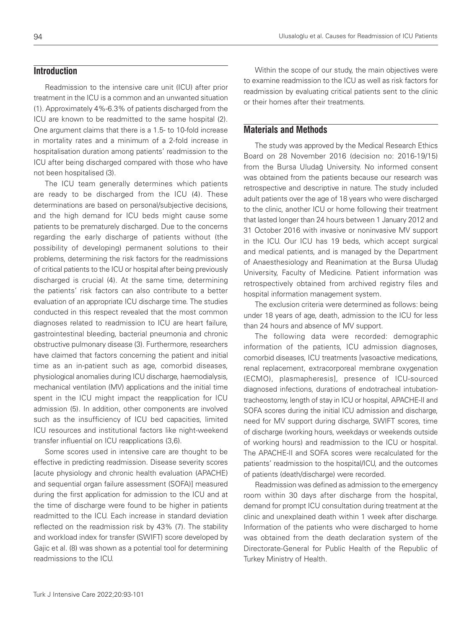# **Introduction**

Readmission to the intensive care unit (ICU) after prior treatment in the ICU is a common and an unwanted situation (1). Approximately 4%-6.3% of patients discharged from the ICU are known to be readmitted to the same hospital (2). One argument claims that there is a 1.5- to 10-fold increase in mortality rates and a minimum of a 2-fold increase in hospitalisation duration among patients' readmission to the ICU after being discharged compared with those who have not been hospitalised (3).

The ICU team generally determines which patients are ready to be discharged from the ICU (4). These determinations are based on personal/subjective decisions, and the high demand for ICU beds might cause some patients to be prematurely discharged. Due to the concerns regarding the early discharge of patients without (the possibility of developing) permanent solutions to their problems, determining the risk factors for the readmissions of critical patients to the ICU or hospital after being previously discharged is crucial (4). At the same time, determining the patients' risk factors can also contribute to a better evaluation of an appropriate ICU discharge time. The studies conducted in this respect revealed that the most common diagnoses related to readmission to ICU are heart failure, gastrointestinal bleeding, bacterial pneumonia and chronic obstructive pulmonary disease (3). Furthermore, researchers have claimed that factors concerning the patient and initial time as an in-patient such as age, comorbid diseases, physiological anomalies during ICU discharge, haemodialysis, mechanical ventilation (MV) applications and the initial time spent in the ICU might impact the reapplication for ICU admission (5). In addition, other components are involved such as the insufficiency of ICU bed capacities, limited ICU resources and institutional factors like night-weekend transfer influential on ICU reapplications (3,6).

Some scores used in intensive care are thought to be effective in predicting readmission. Disease severity scores [acute physiology and chronic health evaluation (APACHE) and sequential organ failure assessment (SOFA)] measured during the first application for admission to the ICU and at the time of discharge were found to be higher in patients readmitted to the ICU. Each increase in standard deviation reflected on the readmission risk by 43% (7). The stability and workload index for transfer (SWIFT) score developed by Gajic et al. (8) was shown as a potential tool for determining readmissions to the ICU.

Within the scope of our study, the main objectives were to examine readmission to the ICU as well as risk factors for readmission by evaluating critical patients sent to the clinic or their homes after their treatments.

## **Materials and Methods**

The study was approved by the Medical Research Ethics Board on 28 November 2016 (decision no: 2016-19/15) from the Bursa Uludağ University. No informed consent was obtained from the patients because our research was retrospective and descriptive in nature. The study included adult patients over the age of 18 years who were discharged to the clinic, another ICU or home following their treatment that lasted longer than 24 hours between 1 January 2012 and 31 October 2016 with invasive or noninvasive MV support in the ICU. Our ICU has 19 beds, which accept surgical and medical patients, and is managed by the Department of Anaesthesiology and Reanimation at the Bursa Uludağ University, Faculty of Medicine. Patient information was retrospectively obtained from archived registry files and hospital information management system.

The exclusion criteria were determined as follows: being under 18 years of age, death, admission to the ICU for less than 24 hours and absence of MV support.

The following data were recorded: demographic information of the patients, ICU admission diagnoses, comorbid diseases, ICU treatments [vasoactive medications, renal replacement, extracorporeal membrane oxygenation (ECMO), plasmapheresis], presence of ICU-sourced diagnosed infections, durations of endotracheal intubationtracheostomy, length of stay in ICU or hospital, APACHE-II and SOFA scores during the initial ICU admission and discharge, need for MV support during discharge, SWIFT scores, time of discharge (working hours, weekdays or weekends outside of working hours) and readmission to the ICU or hospital. The APACHE-II and SOFA scores were recalculated for the patients' readmission to the hospital/ICU, and the outcomes of patients (death/discharge) were recorded.

Readmission was defined as admission to the emergency room within 30 days after discharge from the hospital, demand for prompt ICU consultation during treatment at the clinic and unexplained death within 1 week after discharge. Information of the patients who were discharged to home was obtained from the death declaration system of the Directorate-General for Public Health of the Republic of Turkey Ministry of Health.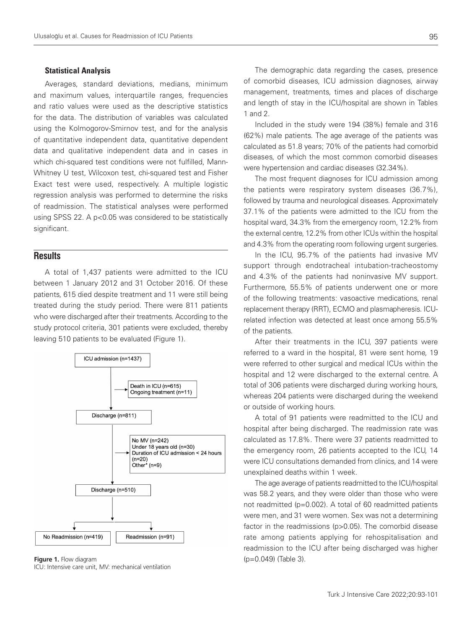### Statistical Analysis

Averages, standard deviations, medians, minimum and maximum values, interquartile ranges, frequencies and ratio values were used as the descriptive statistics for the data. The distribution of variables was calculated using the Kolmogorov-Smirnov test, and for the analysis of quantitative independent data, quantitative dependent data and qualitative independent data and in cases in which chi-squared test conditions were not fulfilled, Mann-Whitney U test, Wilcoxon test, chi-squared test and Fisher Exact test were used, respectively. A multiple logistic regression analysis was performed to determine the risks of readmission. The statistical analyses were performed using SPSS 22. A p<0.05 was considered to be statistically significant.

## **Results**

A total of 1,437 patients were admitted to the ICU between 1 January 2012 and 31 October 2016. Of these patients, 615 died despite treatment and 11 were still being treated during the study period. There were 811 patients who were discharged after their treatments. According to the study protocol criteria, 301 patients were excluded, thereby leaving 510 patients to be evaluated (Figure 1).



**Figure 1.** Flow diagram **Figure 1.** Flow diagram **(p=0.049)** (Table 3). ICU: Intensive care unit, MV: mechanical ventilation

The demographic data regarding the cases, presence of comorbid diseases, ICU admission diagnoses, airway management, treatments, times and places of discharge and length of stay in the ICU/hospital are shown in Tables 1 and 2.

Included in the study were 194 (38%) female and 316 (62%) male patients. The age average of the patients was calculated as 51.8 years; 70% of the patients had comorbid diseases, of which the most common comorbid diseases were hypertension and cardiac diseases (32.34%).

The most frequent diagnoses for ICU admission among the patients were respiratory system diseases (36.7%), followed by trauma and neurological diseases. Approximately 37.1% of the patients were admitted to the ICU from the hospital ward, 34.3% from the emergency room, 12.2% from the external centre, 12.2% from other ICUs within the hospital and 4.3% from the operating room following urgent surgeries.

In the ICU, 95.7% of the patients had invasive MV support through endotracheal intubation-tracheostomy and 4.3% of the patients had noninvasive MV support. Furthermore, 55.5% of patients underwent one or more of the following treatments: vasoactive medications, renal replacement therapy (RRT), ECMO and plasmapheresis. ICUrelated infection was detected at least once among 55.5% of the patients.

After their treatments in the ICU, 397 patients were referred to a ward in the hospital, 81 were sent home, 19 were referred to other surgical and medical ICUs within the hospital and 12 were discharged to the external centre. A total of 306 patients were discharged during working hours, whereas 204 patients were discharged during the weekend or outside of working hours.

A total of 91 patients were readmitted to the ICU and hospital after being discharged. The readmission rate was calculated as 17.8%. There were 37 patients readmitted to the emergency room, 26 patients accepted to the ICU, 14 were ICU consultations demanded from clinics, and 14 were unexplained deaths within 1 week.

The age average of patients readmitted to the ICU/hospital was 58.2 years, and they were older than those who were not readmitted (p=0.002). A total of 60 readmitted patients were men, and 31 were women. Sex was not a determining factor in the readmissions (p>0.05). The comorbid disease rate among patients applying for rehospitalisation and readmission to the ICU after being discharged was higher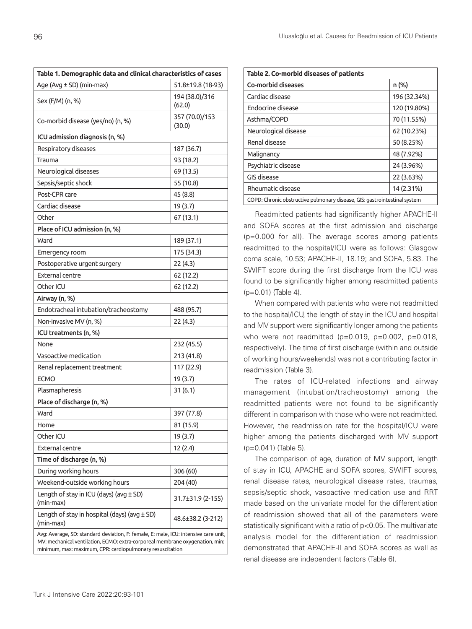| Table 1. Demographic data and clinical characteristics of cases                     |                          |  |  |
|-------------------------------------------------------------------------------------|--------------------------|--|--|
| Age (Avg ± SD) (min-max)                                                            | 51.8±19.8 (18-93)        |  |  |
| Sex (F/M) (n, %)                                                                    | 194 (38.0)/316<br>(62.0) |  |  |
| Co-morbid disease (yes/no) (n, %)                                                   | 357 (70.0)/153<br>(30.0) |  |  |
| ICU admission diagnosis (n, %)                                                      |                          |  |  |
| Respiratory diseases                                                                | 187 (36.7)               |  |  |
| Trauma                                                                              | 93 (18.2)                |  |  |
| Neurological diseases                                                               | 69 (13.5)                |  |  |
| Sepsis/septic shock                                                                 | 55 (10.8)                |  |  |
| Post-CPR care                                                                       | 45 (8.8)                 |  |  |
| Cardiac disease                                                                     | 19 (3.7)                 |  |  |
| Other                                                                               | 67 (13.1)                |  |  |
| Place of ICU admission (n, %)                                                       |                          |  |  |
| Ward                                                                                | 189 (37.1)               |  |  |
| Emergency room                                                                      | 175 (34.3)               |  |  |
| Postoperative urgent surgery                                                        | 22(4.3)                  |  |  |
| <b>External centre</b>                                                              | 62 (12.2)                |  |  |
| Other ICU                                                                           | 62 (12.2)                |  |  |
| Airway (n, %)                                                                       |                          |  |  |
| Endotracheal intubation/tracheostomy                                                | 488 (95.7)               |  |  |
| Non-invasive MV (n, %)                                                              | 22(4.3)                  |  |  |
| ICU treatments (n, %)                                                               |                          |  |  |
| None                                                                                | 232 (45.5)               |  |  |
| Vasoactive medication                                                               | 213 (41.8)               |  |  |
| Renal replacement treatment                                                         | 117 (22.9)               |  |  |
| <b>ECMO</b>                                                                         | 19 (3.7)                 |  |  |
| Plasmapheresis                                                                      | 31(6.1)                  |  |  |
| Place of discharge (n, %)                                                           |                          |  |  |
| Ward                                                                                | 397 (77.8)               |  |  |
| Home                                                                                | 81 (15.9)                |  |  |
| Other ICU                                                                           | 19 (3.7)                 |  |  |
| External centre                                                                     | 12 (2.4)                 |  |  |
| Time of discharge (n, %)                                                            |                          |  |  |
| During working hours                                                                | 306 (60)                 |  |  |
| Weekend-outside working hours                                                       | 204 (40)                 |  |  |
| Length of stay in ICU (days) (avg ± SD)<br>(min-max)                                | 31.7±31.9 (2-155)        |  |  |
| Length of stay in hospital (days) (avg $\pm$ SD)<br>(min-max)                       | 48.6±38.2 (3-212)        |  |  |
| Avg: Average, SD: standard deviation, F: female, E: male, ICU: intensive care unit, |                          |  |  |

MV: mechanical ventilation, ECMO: extra-corporeal membrane oxygenation, min: minimum, max: maximum, CPR: cardiopulmonary resuscitation

| Table 2. Co-morbid diseases of patients                                   |              |  |  |
|---------------------------------------------------------------------------|--------------|--|--|
| <b>Co-morbid diseases</b>                                                 | n (%)        |  |  |
| Cardiac disease                                                           | 196 (32.34%) |  |  |
| Endocrine disease                                                         | 120 (19.80%) |  |  |
| Asthma/COPD                                                               | 70 (11.55%)  |  |  |
| Neurological disease                                                      | 62 (10.23%)  |  |  |
| Renal disease                                                             | 50 (8.25%)   |  |  |
| Malignancy                                                                | 48 (7.92%)   |  |  |
| Psychiatric disease                                                       | 24 (3.96%)   |  |  |
| GIS disease                                                               | 22 (3.63%)   |  |  |
| <b>Rheumatic disease</b><br>14 (2.31%)                                    |              |  |  |
| COPD: Chronic obstructive pulmonary disease, GIS: gastrointestinal system |              |  |  |

Readmitted patients had significantly higher APACHE-II and SOFA scores at the first admission and discharge (p=0.000 for all). The average scores among patients readmitted to the hospital/ICU were as follows: Glasgow coma scale, 10.53; APACHE-II, 18.19; and SOFA, 5.83. The SWIFT score during the first discharge from the ICU was found to be significantly higher among readmitted patients (p=0.01) (Table 4).

When compared with patients who were not readmitted to the hospital/ICU, the length of stay in the ICU and hospital and MV support were significantly longer among the patients who were not readmitted  $(p=0.019, p=0.002, p=0.018,$ respectively). The time of first discharge (within and outside of working hours/weekends) was not a contributing factor in readmission (Table 3).

The rates of ICU-related infections and airway management (intubation/tracheostomy) among the readmitted patients were not found to be significantly different in comparison with those who were not readmitted. However, the readmission rate for the hospital/ICU were higher among the patients discharged with MV support (p=0.041) (Table 5).

The comparison of age, duration of MV support, length of stay in ICU, APACHE and SOFA scores, SWIFT scores, renal disease rates, neurological disease rates, traumas, sepsis/septic shock, vasoactive medication use and RRT made based on the univariate model for the differentiation of readmission showed that all of the parameters were statistically significant with a ratio of p<0.05. The multivariate analysis model for the differentiation of readmission demonstrated that APACHE-II and SOFA scores as well as renal disease are independent factors (Table 6).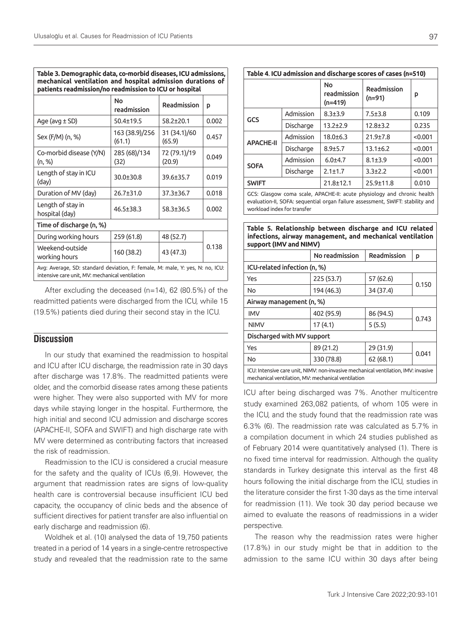| patients readmission/no readmission to ICU or hospital                                                                           |                          |                        |       |  |
|----------------------------------------------------------------------------------------------------------------------------------|--------------------------|------------------------|-------|--|
|                                                                                                                                  | No<br>readmission        | Readmission            | p     |  |
| Age (avg $\pm$ SD)                                                                                                               | $50.4 + 19.5$            | $58.2 + 20.1$          | 0.002 |  |
| Sex (F/M) (n, %)                                                                                                                 | 163 (38.9)/256<br>(61.1) | 31 (34.1)/60<br>(65.9) | 0.457 |  |
| Co-morbid disease (Y/N)<br>(n, %)                                                                                                | 285 (68)/134<br>(32)     | 72 (79.1)/19<br>(20.9) | 0.049 |  |
| Length of stay in ICU<br>(day)                                                                                                   | $30.0 + 30.8$            | 39.6±35.7              | 0.019 |  |
| Duration of MV (day)                                                                                                             | 26.7±31.0                | $37.3 \pm 36.7$        | 0.018 |  |
| Length of stay in<br>hospital (day)                                                                                              | $46.5 \pm 38.3$          | $58.3 \pm 36.5$        | 0.002 |  |
| Time of discharge (n, %)                                                                                                         |                          |                        |       |  |
| During working hours                                                                                                             | 259 (61.8)               | 48 (52.7)              |       |  |
| Weekend-outside<br>working hours                                                                                                 | 160 (38.2)               | 43 (47.3)              | 0.138 |  |
| Avg: Average, SD: standard deviation, F: female, M: male, Y: yes, N: no, ICU:<br>intensive care unit, MV: mechanical ventilation |                          |                        |       |  |

**Table 3. Demographic data, co-morbid diseases, ICU admissions, mechanical ventilation and hospital admission durations of** 

After excluding the deceased (n=14), 62 (80.5%) of the readmitted patients were discharged from the ICU, while 15 (19.5%) patients died during their second stay in the ICU.

## **Discussion**

In our study that examined the readmission to hospital and ICU after ICU discharge, the readmission rate in 30 days after discharge was 17.8%. The readmitted patients were older, and the comorbid disease rates among these patients were higher. They were also supported with MV for more days while staying longer in the hospital. Furthermore, the high initial and second ICU admission and discharge scores (APACHE-II, SOFA and SWIFT) and high discharge rate with MV were determined as contributing factors that increased the risk of readmission.

Readmission to the ICU is considered a crucial measure for the safety and the quality of ICUs (6,9). However, the argument that readmission rates are signs of low-quality health care is controversial because insufficient ICU bed capacity, the occupancy of clinic beds and the absence of sufficient directives for patient transfer are also influential on early discharge and readmission (6).

Woldhek et al. (10) analysed the data of 19,750 patients treated in a period of 14 years in a single-centre retrospective study and revealed that the readmission rate to the same

| Table 4. ICU admission and discharge scores of cases (n=510)               |           |                                       |                         |         |
|----------------------------------------------------------------------------|-----------|---------------------------------------|-------------------------|---------|
|                                                                            |           | <b>No</b><br>readmission<br>$(n=419)$ | Readmission<br>$(n=91)$ | p       |
| GCS                                                                        | Admission | $8.3 + 3.9$                           | $7.5 + 3.8$             | 0.109   |
|                                                                            | Discharge | $13.2 + 2.9$                          | $12.8 + 3.2$            | 0.235   |
| <b>APACHE-II</b>                                                           | Admission | $18.0 + 6.3$                          | $21.9 \pm 7.8$          | < 0.001 |
|                                                                            | Discharge | $8.9 + 5.7$                           | $13.1 \pm 6.2$          | < 0.001 |
| <b>SOFA</b>                                                                | Admission | $6.0 + 4.7$                           | $8.1 \pm 3.9$           | < 0.001 |
|                                                                            | Discharge | $2.1 \pm 1.7$                         | $3.3 \pm 2.2$           | < 0.001 |
| <b>SWIFT</b>                                                               |           | $21.8 + 12.1$                         | 25.9±11.8               | 0.010   |
| CCC: Classowy same seals. ADACUE II: seules abusiala ay and sheanig banlik |           |                                       |                         |         |

GCS: Glasgow coma scale, APACHE-II: acute physiology and chronic health evaluation-II, SOFA: sequential organ failure assessment, SWIFT: stability and workload index for transfer

**Table 5. Relationship between discharge and ICU related infections, airway management, and mechanical ventilation support (IMV and NIMV)**

|                                                                                                                                          | No readmission | Readmission |       |  |
|------------------------------------------------------------------------------------------------------------------------------------------|----------------|-------------|-------|--|
| ICU-related infection (n, %)                                                                                                             |                |             |       |  |
| Yes                                                                                                                                      | 225(53.7)      | 57 (62.6)   | 0.150 |  |
| No                                                                                                                                       | 194 (46.3)     | 34 (37.4)   |       |  |
| Airway management (n, %)                                                                                                                 |                |             |       |  |
| <b>IMV</b>                                                                                                                               | 402 (95.9)     | 86 (94.5)   | 0.743 |  |
| <b>NIMV</b>                                                                                                                              | 17(4.1)        | 5(5.5)      |       |  |
| Discharged with MV support                                                                                                               |                |             |       |  |
| Yes                                                                                                                                      | 89 (21.2)      | 29 (31.9)   | 0.041 |  |
| No                                                                                                                                       | 330 (78.8)     | 62(68.1)    |       |  |
| ICU: Intensive care unit, NIMV: non-invasive mechanical ventilation, IMV: invasive<br>mechanical ventilation, MV: mechanical ventilation |                |             |       |  |

ICU after being discharged was 7%. Another multicentre study examined 263,082 patients, of whom 105 were in the ICU, and the study found that the readmission rate was 6.3% (6). The readmission rate was calculated as 5.7% in a compilation document in which 24 studies published as of February 2014 were quantitatively analysed (1). There is no fixed time interval for readmission. Although the quality standards in Turkey designate this interval as the first 48 hours following the initial discharge from the ICU, studies in the literature consider the first 1-30 days as the time interval for readmission (11). We took 30 day period because we aimed to evaluate the reasons of readmissions in a wider perspective.

The reason why the readmission rates were higher (17.8%) in our study might be that in addition to the admission to the same ICU within 30 days after being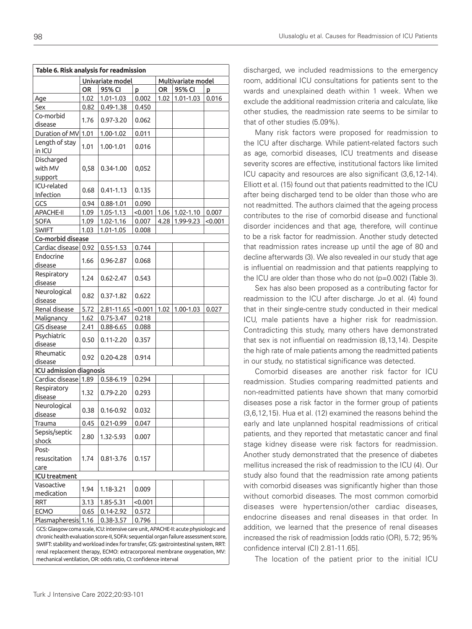| Table 6. Risk analysis for readmission                                                                                                                                      |      |               |                    |                     |           |         |
|-----------------------------------------------------------------------------------------------------------------------------------------------------------------------------|------|---------------|--------------------|---------------------|-----------|---------|
| Univariate model                                                                                                                                                            |      |               | Multivariate model |                     |           |         |
|                                                                                                                                                                             | OR   | 95% CI<br>p   |                    | <b>OR</b><br>95% CI |           | Þ       |
| Age                                                                                                                                                                         | 1.02 | 1.01-1.03     | 0.002              | 1.02                | 1.01-1.03 | 0.016   |
| Sex                                                                                                                                                                         | 0.82 | $0.49 - 1.38$ | 0.450              |                     |           |         |
| Co-morbid                                                                                                                                                                   |      |               |                    |                     |           |         |
| disease                                                                                                                                                                     | 1.76 | 0.97-3.20     | 0.062              |                     |           |         |
| Duration of MV                                                                                                                                                              | 1.01 | 1.00-1.02     | 0.011              |                     |           |         |
| Length of stay                                                                                                                                                              |      |               |                    |                     |           |         |
| in ICU                                                                                                                                                                      | 1.01 | 1.00-1.01     | 0.016              |                     |           |         |
| Discharged                                                                                                                                                                  |      |               | 0,052              |                     |           |         |
| with MV                                                                                                                                                                     | 0,58 | 0.34-1.00     |                    |                     |           |         |
| support                                                                                                                                                                     |      |               |                    |                     |           |         |
| ICU-related                                                                                                                                                                 |      |               |                    |                     |           |         |
| Infection                                                                                                                                                                   | 0.68 | $0.41 - 1.13$ | 0.135              |                     |           |         |
| GCS                                                                                                                                                                         | 0.94 | $0.88 - 1.01$ | 0.090              |                     |           |         |
| <b>APACHE-II</b>                                                                                                                                                            | 1.09 | 1.05-1.13     | < 0.001            | 1.06                | 1.02-1.10 | 0.007   |
| <b>SOFA</b>                                                                                                                                                                 | 1.09 | 1.02-1.16     | 0.007              | 4.28                | 1.99-9.23 | < 0.001 |
| <b>SWIFT</b>                                                                                                                                                                | 1.03 | $1.01 - 1.05$ | 0.008              |                     |           |         |
| Co-morbid disease                                                                                                                                                           |      |               |                    |                     |           |         |
| Cardiac disease                                                                                                                                                             | 0.92 | $0.55 - 1.53$ | 0.744              |                     |           |         |
| Endocrine                                                                                                                                                                   | 1.66 | 0.96-2.87     | 0.068              |                     |           |         |
| disease                                                                                                                                                                     |      |               |                    |                     |           |         |
| Respiratory                                                                                                                                                                 | 1.24 | $0.62 - 2.47$ | 0.543              |                     |           |         |
| disease                                                                                                                                                                     |      |               |                    |                     |           |         |
| Neurological                                                                                                                                                                | 0.82 | 0.37-1.82     | 0.622              |                     |           |         |
| disease                                                                                                                                                                     |      |               |                    |                     |           |         |
| Renal disease                                                                                                                                                               | 5.72 | 2.81-11.65    | < 0.001            | 1.02                | 1.00-1.03 | 0.027   |
| Malignancy                                                                                                                                                                  | 1.62 | $0.75 - 3.47$ | 0.218              |                     |           |         |
| GIS disease                                                                                                                                                                 | 2.41 | 0.88-6.65     | 0.088              |                     |           |         |
| Psychiatric                                                                                                                                                                 | 0.50 | $0.11 - 2.20$ | 0.357              |                     |           |         |
| disease                                                                                                                                                                     |      |               |                    |                     |           |         |
| Rheumatic                                                                                                                                                                   | 0.92 | $0.20 - 4.28$ | 0.914              |                     |           |         |
| disease                                                                                                                                                                     |      |               |                    |                     |           |         |
| ICU admission diagnosis                                                                                                                                                     |      |               |                    |                     |           |         |
| Cardiac disease 1.89                                                                                                                                                        |      | 0.58-6.19     | 0.294              |                     |           |         |
| Respiratory                                                                                                                                                                 | 1.32 | $0.79 - 2.20$ | 0.293              |                     |           |         |
| disease                                                                                                                                                                     |      |               |                    |                     |           |         |
| Neurological                                                                                                                                                                | 0.38 | $0.16 - 0.92$ | 0.032              |                     |           |         |
| disease                                                                                                                                                                     |      |               |                    |                     |           |         |
| Trauma                                                                                                                                                                      | 0.45 | 0.21-0.99     | 0.047              |                     |           |         |
| Sepsis/septic                                                                                                                                                               | 2.80 | 1.32-5.93     | 0.007              |                     |           |         |
| shock                                                                                                                                                                       |      |               |                    |                     |           |         |
| Post-<br>resuscitation                                                                                                                                                      | 1.74 | 0.81-3.76     | 0.157              |                     |           |         |
|                                                                                                                                                                             |      |               |                    |                     |           |         |
| care<br><b>ICU</b> treatment                                                                                                                                                |      |               |                    |                     |           |         |
| Vasoactive                                                                                                                                                                  |      |               |                    |                     |           |         |
| medication                                                                                                                                                                  | 1.94 | 1.18-3.21     | 0.009              |                     |           |         |
| <b>RRT</b>                                                                                                                                                                  | 3.13 | 1.85-5.31     | <0.001             |                     |           |         |
| <b>ECMO</b>                                                                                                                                                                 | 0.65 | $0.14 - 2.92$ | 0.572              |                     |           |         |
| Plasmapheresis 1.16                                                                                                                                                         |      | 0.38-3.57     | 0.796              |                     |           |         |
|                                                                                                                                                                             |      |               |                    |                     |           |         |
| GCS: Glasgow coma scale, ICU: intensive care unit, APACHE-II: acute physiologic and<br>chronic health evaluation score-II, SOFA: sequential organ failure assessment score, |      |               |                    |                     |           |         |
| SWIFT: stability and workload index for transfer, GIS: gastrointestinal system, RRT:                                                                                        |      |               |                    |                     |           |         |
| renal replacement therapy, ECMO: extracorporeal membrane oxygenation, MV:                                                                                                   |      |               |                    |                     |           |         |
| mechanical ventilation, OR: odds ratio, CI: confidence interval                                                                                                             |      |               |                    |                     |           |         |

with comorbid diseases was significantly higher than those

without comorbid diseases. The most common comorbid diseases were hypertension/other cardiac diseases, endocrine diseases and renal diseases in that order. In addition, we learned that the presence of renal diseases increased the risk of readmission [odds ratio (OR), 5.72; 95% confidence interval (CI) 2.81-11.65].

The location of the patient prior to the initial ICU

discharged, we included readmissions to the emergency room, additional ICU consultations for patients sent to the wards and unexplained death within 1 week. When we exclude the additional readmission criteria and calculate, like other studies, the readmission rate seems to be similar to that of other studies (5.09%).

Many risk factors were proposed for readmission to the ICU after discharge. While patient-related factors such as age, comorbid diseases, ICU treatments and disease severity scores are effective, institutional factors like limited ICU capacity and resources are also significant (3,6,12-14). Elliott et al. (15) found out that patients readmitted to the ICU after being discharged tend to be older than those who are not readmitted. The authors claimed that the ageing process contributes to the rise of comorbid disease and functional disorder incidences and that age, therefore, will continue to be a risk factor for readmission. Another study detected that readmission rates increase up until the age of 80 and decline afterwards (3). We also revealed in our study that age is influential on readmission and that patients reapplying to the ICU are older than those who do not (p=0.002) (Table 3).

Sex has also been proposed as a contributing factor for readmission to the ICU after discharge. Jo et al. (4) found that in their single-centre study conducted in their medical ICU, male patients have a higher risk for readmission. Contradicting this study, many others have demonstrated that sex is not influential on readmission (8,13,14). Despite the high rate of male patients among the readmitted patients in our study, no statistical significance was detected.

Comorbid diseases are another risk factor for ICU readmission. Studies comparing readmitted patients and non-readmitted patients have shown that many comorbid diseases pose a risk factor in the former group of patients (3,6,12,15). Hua et al. (12) examined the reasons behind the early and late unplanned hospital readmissions of critical patients, and they reported that metastatic cancer and final stage kidney disease were risk factors for readmission. Another study demonstrated that the presence of diabetes mellitus increased the risk of readmission to the ICU (4). Our study also found that the readmission rate among patients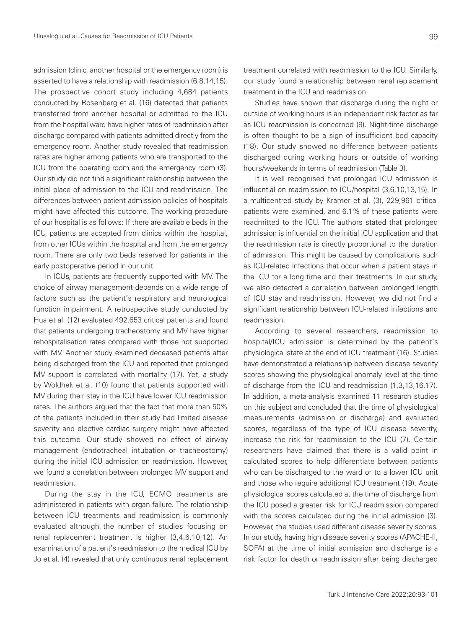admission (clinic, another hospital or the emergency room) is asserted to have a relationship with readmission (6,8,14,15). The prospective cohort study including 4,684 patients conducted by Rosenberg et al. (16) detected that patients transferred from another hospital or admitted to the ICU from the hospital ward have higher rates of readmission after discharge compared with patients admitted directly from the emergency room. Another study revealed that readmission rates are higher among patients who are transported to the ICU from the operating room and the emergency room (3). Our study did not find a significant relationship between the initial place of admission to the ICU and readmission. The differences between patient admission policies of hospitals might have affected this outcome. The working procedure of our hospital is as follows: If there are available beds in the ICU, patients are accepted from clinics within the hospital, from other ICUs within the hospital and from the emergency room. There are only two beds reserved for patients in the early postoperative period in our unit.

In ICUs, patients are frequently supported with MV. The choice of airway management depends on a wide range of factors such as the patient's respiratory and neurological function impairment. A retrospective study conducted by Hua et al. (12) evaluated 492,653 critical patients and found that patients undergoing tracheostomy and MV have higher rehospitalisation rates compared with those not supported with MV. Another study examined deceased patients after being discharged from the ICU and reported that prolonged MV support is correlated with mortality (17). Yet, a study by Woldhek et al. (10) found that patients supported with MV during their stay in the ICU have lower ICU readmission rates. The authors argued that the fact that more than 50% of the patients included in their study had limited disease severity and elective cardiac surgery might have affected this outcome. Our study showed no effect of airway management (endotracheal intubation or tracheostomy) during the initial ICU admission on readmission. However, we found a correlation between prolonged MV support and readmission.

During the stay in the ICU, ECMO treatments are administered in patients with organ failure. The relationship between ICU treatments and readmission is commonly evaluated although the number of studies focusing on renal replacement treatment is higher (3,4,6,10,12). An examination of a patient's readmission to the medical ICU by Jo et al. (4) revealed that only continuous renal replacement treatment correlated with readmission to the ICU. Similarly, our study found a relationship between renal replacement treatment in the ICU and readmission.

Studies have shown that discharge during the night or outside of working hours is an independent risk factor as far as ICU readmission is concerned (9). Night-time discharge is often thought to be a sign of insufficient bed capacity (18). Our study showed no difference between patients discharged during working hours or outside of working hours/weekends in terms of readmission (Table 3).

It is well recognised that prolonged ICU admission is influential on readmission to ICU/hospital (3,6,10,13,15). In a multicentred study by Kramer et al. (3), 229,961 critical patients were examined, and 6.1% of these patients were readmitted to the ICU. The authors stated that prolonged admission is influential on the initial ICU application and that the readmission rate is directly proportional to the duration of admission. This might be caused by complications such as ICU-related infections that occur when a patient stays in the ICU for a long time and their treatments. In our study, we also detected a correlation between prolonged length of ICU stay and readmission. However, we did not find a significant relationship between ICU-related infections and readmission.

According to several researchers, readmission to hospital/ICU admission is determined by the patient's physiological state at the end of ICU treatment (16). Studies have demonstrated a relationship between disease severity scores showing the physiological anomaly level at the time of discharge from the ICU and readmission (1,3,13,16,17). In addition, a meta-analysis examined 11 research studies on this subject and concluded that the time of physiological measurements (admission or discharge) and evaluated scores, regardless of the type of ICU disease severity, increase the risk for readmission to the ICU (7). Certain researchers have claimed that there is a valid point in calculated scores to help differentiate between patients who can be discharged to the ward or to a lower ICU unit and those who require additional ICU treatment (19). Acute physiological scores calculated at the time of discharge from the ICU posed a greater risk for ICU readmission compared with the scores calculated during the initial admission (3). However, the studies used different disease severity scores. In our study, having high disease severity scores (APACHE-II, SOFA) at the time of initial admission and discharge is a risk factor for death or readmission after being discharged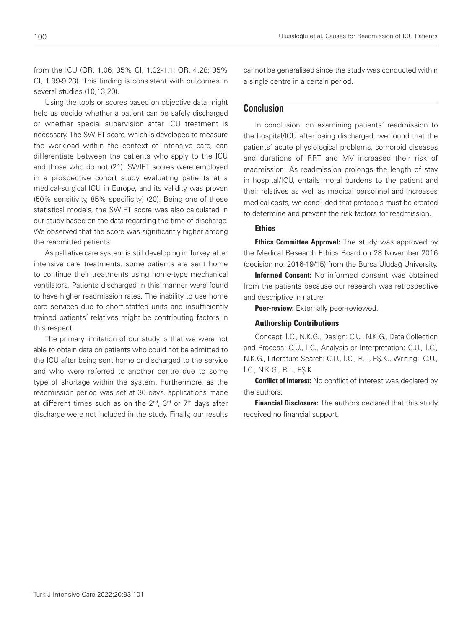from the ICU (OR, 1.06; 95% CI, 1.02-1.1; OR, 4.28; 95% CI, 1.99-9.23). This finding is consistent with outcomes in several studies (10,13,20).

Using the tools or scores based on objective data might help us decide whether a patient can be safely discharged or whether special supervision after ICU treatment is necessary. The SWIFT score, which is developed to measure the workload within the context of intensive care, can differentiate between the patients who apply to the ICU and those who do not (21). SWIFT scores were employed in a prospective cohort study evaluating patients at a medical-surgical ICU in Europe, and its validity was proven (50% sensitivity, 85% specificity) (20). Being one of these statistical models, the SWIFT score was also calculated in our study based on the data regarding the time of discharge. We observed that the score was significantly higher among the readmitted patients.

As palliative care system is still developing in Turkey, after intensive care treatments, some patients are sent home to continue their treatments using home-type mechanical ventilators. Patients discharged in this manner were found to have higher readmission rates. The inability to use home care services due to short-staffed units and insufficiently trained patients' relatives might be contributing factors in this respect.

The primary limitation of our study is that we were not able to obtain data on patients who could not be admitted to the ICU after being sent home or discharged to the service and who were referred to another centre due to some type of shortage within the system. Furthermore, as the readmission period was set at 30 days, applications made at different times such as on the  $2^{nd}$ ,  $3^{rd}$  or  $7^{th}$  days after discharge were not included in the study. Finally, our results

cannot be generalised since the study was conducted within a single centre in a certain period.

## **Conclusion**

In conclusion, on examining patients' readmission to the hospital/ICU after being discharged, we found that the patients' acute physiological problems, comorbid diseases and durations of RRT and MV increased their risk of readmission. As readmission prolongs the length of stay in hospital/ICU, entails moral burdens to the patient and their relatives as well as medical personnel and increases medical costs, we concluded that protocols must be created to determine and prevent the risk factors for readmission.

## Ethics

**Ethics Committee Approval:** The study was approved by the Medical Research Ethics Board on 28 November 2016 (decision no: 2016-19/15) from the Bursa Uludağ University.

Informed Consent: No informed consent was obtained from the patients because our research was retrospective and descriptive in nature.

Peer-review: Externally peer-reviewed.

### Authorship Contributions

Concept: İ.C., N.K.G., Design: C.U., N.K.G., Data Collection and Process: C.U., İ.C., Analysis or Interpretation: C.U., İ.C., N.K.G., Literature Search: C.U., İ.C., R.İ., F.Ş.K., Writing: C.U., İ.C., N.K.G., R.İ., F.Ş.K.

**Conflict of Interest:** No conflict of interest was declared by the authors.

**Financial Disclosure:** The authors declared that this study received no financial support.